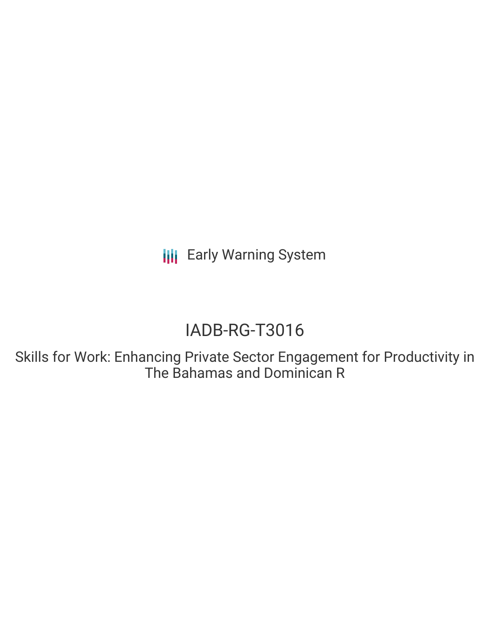**III** Early Warning System

# IADB-RG-T3016

Skills for Work: Enhancing Private Sector Engagement for Productivity in The Bahamas and Dominican R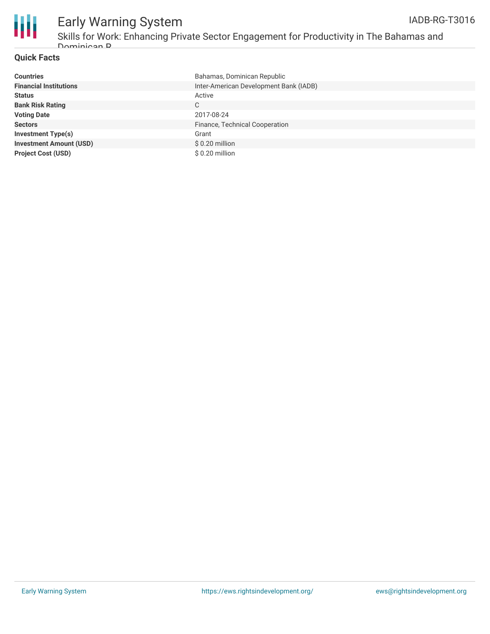



# Early Warning System

Skills for Work: Enhancing Private Sector Engagement for Productivity in The Bahamas and Dominican R

#### **Quick Facts**

| <b>Countries</b>               | Bahamas, Dominican Republic            |
|--------------------------------|----------------------------------------|
| <b>Financial Institutions</b>  | Inter-American Development Bank (IADB) |
| <b>Status</b>                  | Active                                 |
| <b>Bank Risk Rating</b>        | C                                      |
| <b>Voting Date</b>             | 2017-08-24                             |
| <b>Sectors</b>                 | Finance, Technical Cooperation         |
| <b>Investment Type(s)</b>      | Grant                                  |
| <b>Investment Amount (USD)</b> | $$0.20$ million                        |
| <b>Project Cost (USD)</b>      | $$0.20$ million                        |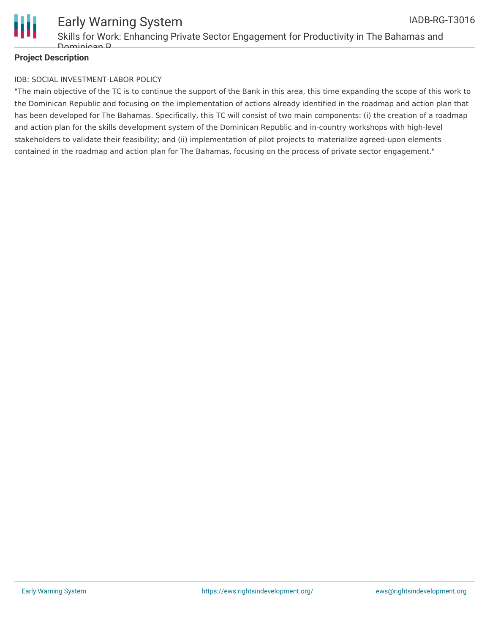

#### **Project Description**

#### IDB: SOCIAL INVESTMENT-LABOR POLICY

"The main objective of the TC is to continue the support of the Bank in this area, this time expanding the scope of this work to the Dominican Republic and focusing on the implementation of actions already identified in the roadmap and action plan that has been developed for The Bahamas. Specifically, this TC will consist of two main components: (i) the creation of a roadmap and action plan for the skills development system of the Dominican Republic and in-country workshops with high-level stakeholders to validate their feasibility; and (ii) implementation of pilot projects to materialize agreed-upon elements contained in the roadmap and action plan for The Bahamas, focusing on the process of private sector engagement."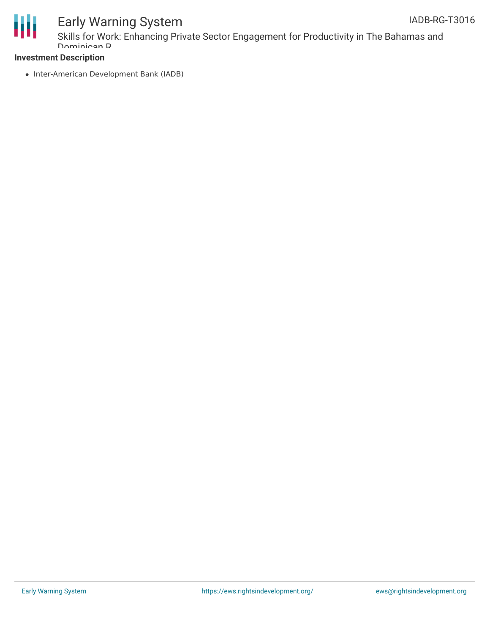



### Early Warning System

Skills for Work: Enhancing Private Sector Engagement for Productivity in The Bahamas and Dominican R

#### **Investment Description**

• Inter-American Development Bank (IADB)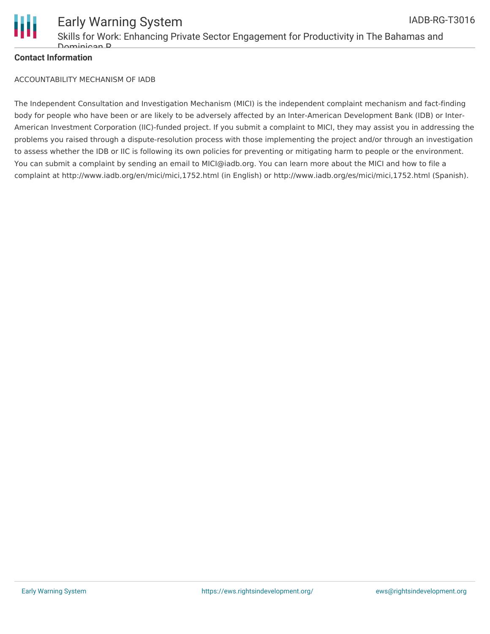

#### **Contact Information**

ACCOUNTABILITY MECHANISM OF IADB

The Independent Consultation and Investigation Mechanism (MICI) is the independent complaint mechanism and fact-finding body for people who have been or are likely to be adversely affected by an Inter-American Development Bank (IDB) or Inter-American Investment Corporation (IIC)-funded project. If you submit a complaint to MICI, they may assist you in addressing the problems you raised through a dispute-resolution process with those implementing the project and/or through an investigation to assess whether the IDB or IIC is following its own policies for preventing or mitigating harm to people or the environment. You can submit a complaint by sending an email to MICI@iadb.org. You can learn more about the MICI and how to file a complaint at http://www.iadb.org/en/mici/mici,1752.html (in English) or http://www.iadb.org/es/mici/mici,1752.html (Spanish).